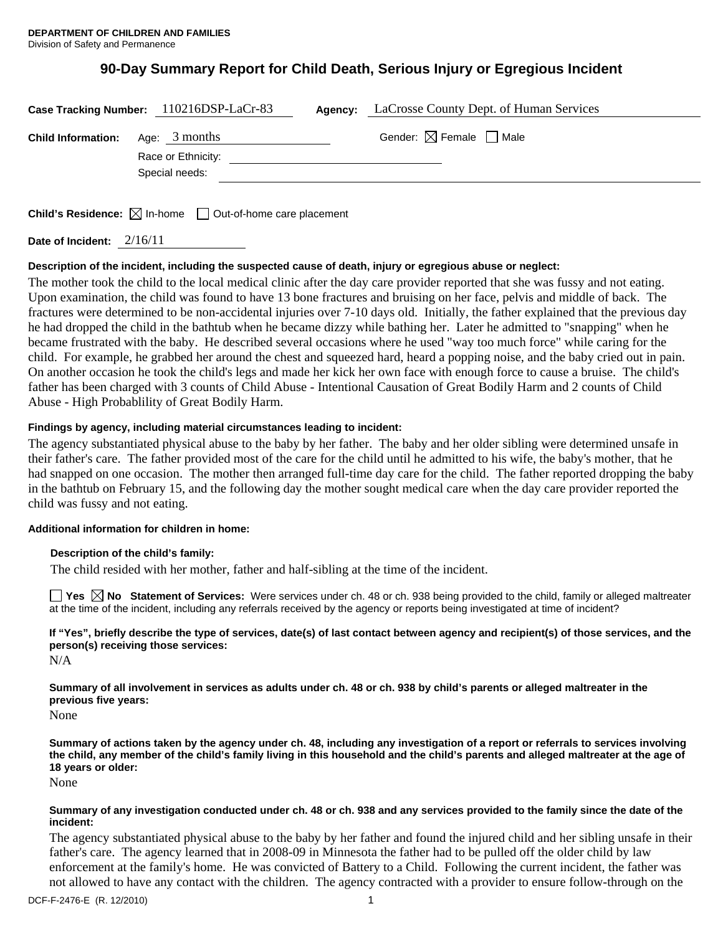# **90-Day Summary Report for Child Death, Serious Injury or Egregious Incident**

| Case Tracking Number: 110216DSP-LaCr-83 |                                       | Agency: | LaCrosse County Dept. of Human Services |
|-----------------------------------------|---------------------------------------|---------|-----------------------------------------|
| <b>Child Information:</b>               | Age: $3$ months<br>Race or Ethnicity: |         | Gender: $\boxtimes$ Female $\Box$ Male  |
|                                         | Special needs:                        |         |                                         |
|                                         |                                       |         |                                         |

**Child's Residence:**  $\boxtimes$  In-home  $\Box$  Out-of-home care placement

**Date of Incident:** 2/16/11

# **Description of the incident, including the suspected cause of death, injury or egregious abuse or neglect:**

The mother took the child to the local medical clinic after the day care provider reported that she was fussy and not eating. Upon examination, the child was found to have 13 bone fractures and bruising on her face, pelvis and middle of back. The fractures were determined to be non-accidental injuries over 7-10 days old. Initially, the father explained that the previous day he had dropped the child in the bathtub when he became dizzy while bathing her. Later he admitted to "snapping" when he became frustrated with the baby. He described several occasions where he used "way too much force" while caring for the child. For example, he grabbed her around the chest and squeezed hard, heard a popping noise, and the baby cried out in pain. On another occasion he took the child's legs and made her kick her own face with enough force to cause a bruise. The child's father has been charged with 3 counts of Child Abuse - Intentional Causation of Great Bodily Harm and 2 counts of Child Abuse - High Probablility of Great Bodily Harm.

# **Findings by agency, including material circumstances leading to incident:**

The agency substantiated physical abuse to the baby by her father. The baby and her older sibling were determined unsafe in their father's care. The father provided most of the care for the child until he admitted to his wife, the baby's mother, that he had snapped on one occasion. The mother then arranged full-time day care for the child. The father reported dropping the baby in the bathtub on February 15, and the following day the mother sought medical care when the day care provider reported the child was fussy and not eating.

# **Additional information for children in home:**

# **Description of the child's family:**

The child resided with her mother, father and half-sibling at the time of the incident.

■ Yes **No** Statement of Services: Were services under ch. 48 or ch. 938 being provided to the child, family or alleged maltreater at the time of the incident, including any referrals received by the agency or reports being investigated at time of incident?

**If "Yes", briefly describe the type of services, date(s) of last contact between agency and recipient(s) of those services, and the person(s) receiving those services:** 

N/A

**Summary of all involvement in services as adults under ch. 48 or ch. 938 by child's parents or alleged maltreater in the previous five years:** 

None

**Summary of actions taken by the agency under ch. 48, including any investigation of a report or referrals to services involving the child, any member of the child's family living in this household and the child's parents and alleged maltreater at the age of 18 years or older:** 

None

## **Summary of any investigation conducted under ch. 48 or ch. 938 and any services provided to the family since the date of the incident:**

The agency substantiated physical abuse to the baby by her father and found the injured child and her sibling unsafe in their father's care. The agency learned that in 2008-09 in Minnesota the father had to be pulled off the older child by law enforcement at the family's home. He was convicted of Battery to a Child. Following the current incident, the father was not allowed to have any contact with the children. The agency contracted with a provider to ensure follow-through on the